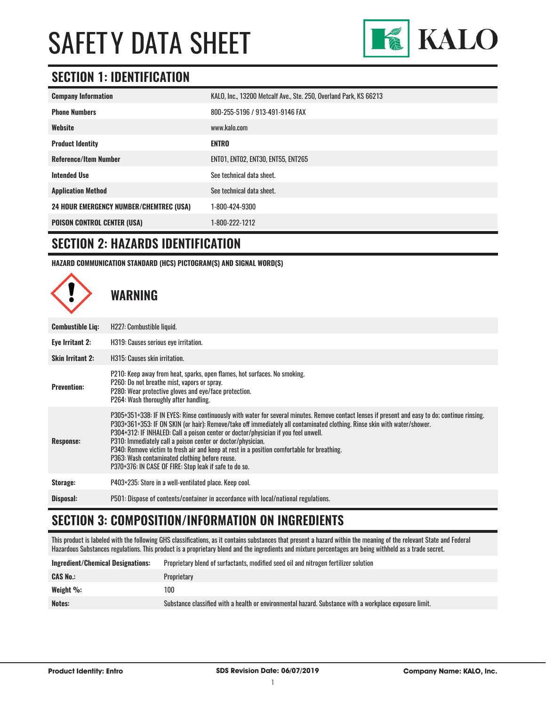

### **SECTION 1: IDENTIFICATION**

| <b>Company Information</b>                     | KALO, Inc., 13200 Metcalf Ave., Ste. 250, Overland Park, KS 66213 |
|------------------------------------------------|-------------------------------------------------------------------|
| <b>Phone Numbers</b>                           | 800-255-5196 / 913-491-9146 FAX                                   |
| Website                                        | www.kalo.com                                                      |
| <b>Product Identity</b>                        | <b>ENTRO</b>                                                      |
| <b>Reference/Item Number</b>                   | <b>ENTO1, ENTO2, ENT30, ENT55, ENT265</b>                         |
| <b>Intended Use</b>                            | See technical data sheet.                                         |
| <b>Application Method</b>                      | See technical data sheet.                                         |
| <b>24 HOUR EMERGENCY NUMBER/CHEMTREC (USA)</b> | 1-800-424-9300                                                    |
| <b>POISON CONTROL CENTER (USA)</b>             | 1-800-222-1212                                                    |

#### **SECTION 2: HAZARDS IDENTIFICATION**

**HAZARD COMMUNICATION STANDARD (HCS) PICTOGRAM(S) AND SIGNAL WORD(S)**



### **SECTION 3: COMPOSITION/INFORMATION ON INGREDIENTS**

This product is labeled with the following GHS classifications, as it contains substances that present a hazard within the meaning of the relevant State and Federal Hazardous Substances regulations. This product is a proprietary blend and the ingredients and mixture percentages are being withheld as a trade secret.

| <b>Ingredient/Chemical Designations:</b> | Proprietary blend of surfactants, modified seed oil and nitrogen fertilizer solution                   |  |  |
|------------------------------------------|--------------------------------------------------------------------------------------------------------|--|--|
| <b>CAS No.:</b>                          | Proprietary                                                                                            |  |  |
| Weight $\%$ :                            | 100                                                                                                    |  |  |
| Notes:                                   | Substance classified with a health or environmental hazard. Substance with a workplace exposure limit. |  |  |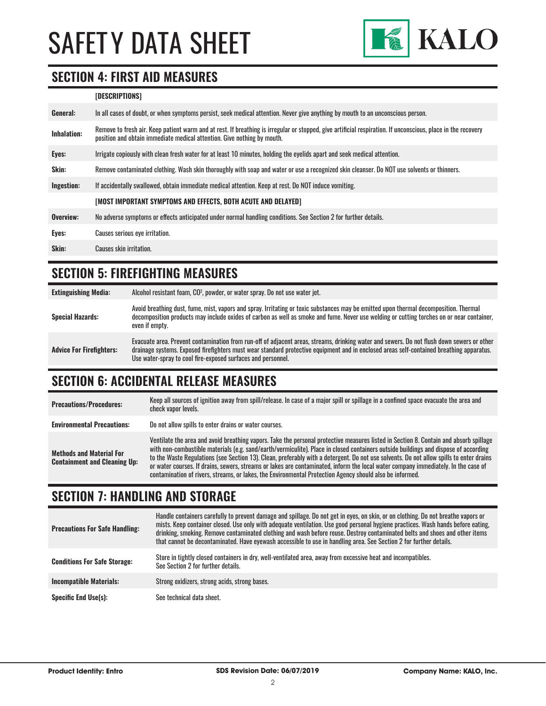

#### **SECTION 4: FIRST AID MEASURES**

#### **[DESCRIPTIONS]**

| General:     | In all cases of doubt, or when symptoms persist, seek medical attention. Never give anything by mouth to an unconscious person.                                                                                                         |
|--------------|-----------------------------------------------------------------------------------------------------------------------------------------------------------------------------------------------------------------------------------------|
| Inhalation:  | Remove to fresh air. Keep patient warm and at rest. If breathing is irregular or stopped, give artificial respiration. If unconscious, place in the recovery<br>position and obtain immediate medical attention. Give nothing by mouth. |
| Eyes:        | Irrigate copiously with clean fresh water for at least 10 minutes, holding the eyelids apart and seek medical attention.                                                                                                                |
| <b>Skin:</b> | Remove contaminated clothing. Wash skin thoroughly with soap and water or use a recognized skin cleanser. Do NOT use solvents or thinners.                                                                                              |
| Ingestion:   | If accidentally swallowed, obtain immediate medical attention. Keep at rest. Do NOT induce vomiting.                                                                                                                                    |
|              | [MOST IMPORTANT SYMPTOMS AND EFFECTS, BOTH ACUTE AND DELAYED]                                                                                                                                                                           |
| Overview:    | No adverse symptoms or effects anticipated under normal handling conditions. See Section 2 for further details.                                                                                                                         |
| Eyes:        | Causes serious eye irritation.                                                                                                                                                                                                          |
| Skin:        | Causes skin irritation.                                                                                                                                                                                                                 |

#### **SECTION 5: FIREFIGHTING MEASURES**

| <b>Extinguishing Media:</b>     | Alcohol resistant foam, CO <sup>2</sup> , powder, or water spray. Do not use water jet.                                                                                                                                                                                                                                                                |
|---------------------------------|--------------------------------------------------------------------------------------------------------------------------------------------------------------------------------------------------------------------------------------------------------------------------------------------------------------------------------------------------------|
| <b>Special Hazards:</b>         | Avoid breathing dust, fume, mist, vapors and spray. Irritating or toxic substances may be emitted upon thermal decomposition. Thermal<br>decomposition products may include oxides of carbon as well as smoke and fume. Never use welding or cutting torches on or near container,<br>even if empty.                                                   |
| <b>Advice For Firefighters:</b> | Evacuate area. Prevent contamination from run-off of adjacent areas, streams, drinking water and sewers. Do not flush down sewers or other<br>drainage systems. Exposed firefighters must wear standard protective equipment and in enclosed areas self-contained breathing apparatus.<br>Use water-spray to cool fire-exposed surfaces and personnel. |

### **SECTION 6: ACCIDENTAL RELEASE MEASURES**

| <b>Precautions/Procedures:</b>                                         | Keep all sources of ignition away from spill/release. In case of a major spill or spillage in a confined space evacuate the area and<br>check vapor levels.                                                                                                                                                                                                                                                                                                                                                                                                                                                                                                               |
|------------------------------------------------------------------------|---------------------------------------------------------------------------------------------------------------------------------------------------------------------------------------------------------------------------------------------------------------------------------------------------------------------------------------------------------------------------------------------------------------------------------------------------------------------------------------------------------------------------------------------------------------------------------------------------------------------------------------------------------------------------|
| <b>Environmental Precautions:</b>                                      | Do not allow spills to enter drains or water courses.                                                                                                                                                                                                                                                                                                                                                                                                                                                                                                                                                                                                                     |
| <b>Methods and Material For</b><br><b>Containment and Cleaning Up:</b> | Ventilate the area and avoid breathing vapors. Take the personal protective measures listed in Section 8. Contain and absorb spillage<br>with non-combustible materials (e.g. sand/earth/vermiculite). Place in closed containers outside buildings and dispose of according<br>to the Waste Regulations (see Section 13). Clean, preferably with a detergent. Do not use solvents. Do not allow spills to enter drains<br>or water courses. If drains, sewers, streams or lakes are contaminated, inform the local water company immediately. In the case of<br>contamination of rivers, streams, or lakes, the Environmental Protection Agency should also be informed. |

### **SECTION 7: HANDLING AND STORAGE**

| <b>Precautions For Safe Handling:</b> | Handle containers carefully to prevent damage and spillage. Do not get in eyes, on skin, or on clothing. Do not breathe vapors or<br>mists. Keep container closed. Use only with adequate ventilation. Use good personal hygiene practices. Wash hands before eating,<br>drinking, smoking. Remove contaminated clothing and wash before reuse. Destroy contaminated belts and shoes and other items<br>that cannot be decontaminated. Have eyewash accessible to use in handling area. See Section 2 for further details. |
|---------------------------------------|----------------------------------------------------------------------------------------------------------------------------------------------------------------------------------------------------------------------------------------------------------------------------------------------------------------------------------------------------------------------------------------------------------------------------------------------------------------------------------------------------------------------------|
| <b>Conditions For Safe Storage:</b>   | Store in tightly closed containers in dry, well-ventilated area, away from excessive heat and incompatibles.<br>See Section 2 for further details.                                                                                                                                                                                                                                                                                                                                                                         |
| <b>Incompatible Materials:</b>        | Strong oxidizers, strong acids, strong bases.                                                                                                                                                                                                                                                                                                                                                                                                                                                                              |
| <b>Specific End Use(s):</b>           | See technical data sheet.                                                                                                                                                                                                                                                                                                                                                                                                                                                                                                  |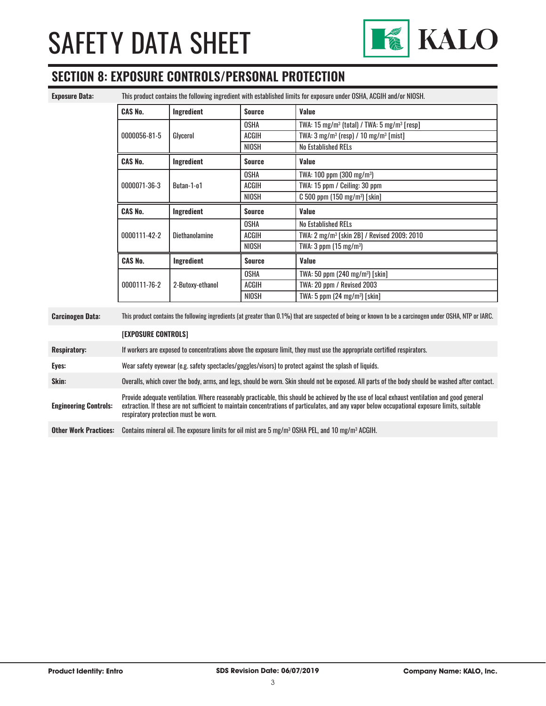

### **SECTION 8: EXPOSURE CONTROLS/PERSONAL PROTECTION**

| <b>Exposure Data:</b> |  |
|-----------------------|--|
|-----------------------|--|

**Exposure Data:** This product contains the following ingredient with established limits for exposure under OSHA, ACGIH and/or NIOSH.

| <b>CAS No.</b> | Ingredient       | <b>Source</b> | Value                                                               |
|----------------|------------------|---------------|---------------------------------------------------------------------|
|                |                  | <b>OSHA</b>   | TWA: 15 mg/m <sup>3</sup> (total) / TWA: 5 mg/m <sup>3</sup> [resp] |
| 0000056-81-5   | Glycerol         | ACGIH         | TWA: $3 \text{ mg/m}^3$ (resp) / $10 \text{ mg/m}^3$ [mist]         |
|                |                  | <b>NIOSH</b>  | <b>No Established RELs</b>                                          |
| <b>CAS No.</b> | Ingredient       | <b>Source</b> | Value                                                               |
|                |                  | <b>OSHA</b>   | TWA: $100$ ppm ( $300$ mg/m <sup>3</sup> )                          |
| 0000071-36-3   | Butan-1-o1       | ACGIH         | TWA: 15 ppm / Ceiling: 30 ppm                                       |
|                |                  | <b>NIOSH</b>  | $C$ 500 ppm (150 mg/m <sup>3</sup> ) [skin]                         |
| <b>CAS No.</b> | Ingredient       | <b>Source</b> | Value                                                               |
|                |                  | <b>OSHA</b>   | <b>No Established RELs</b>                                          |
| 0000111-42-2   | Diethanolamine   | <b>ACGIH</b>  | TWA: 2 mg/m <sup>3</sup> [skin 2B] / Revised 2009; 2010             |
|                |                  | NIOSH         | TWA: $3$ ppm $(15 \text{ mg/m}^3)$                                  |
| <b>CAS No.</b> | Ingredient       | <b>Source</b> | Value                                                               |
| 0000111-76-2   | 2-Butoxy-ethanol | <b>OSHA</b>   | TWA: 50 ppm $(240 \text{ mg/m}^3)$ [skin]                           |
|                |                  | <b>ACGIH</b>  | TWA: 20 ppm / Revised 2003                                          |
|                |                  |               |                                                                     |

**Carcinogen Data:** This product contains the following ingredients (at greater than 0.1%) that are suspected of being or known to be a carcinogen under OSHA, NTP or IARC.

| VALUILUEUIL DALA.            | <u>HID MARIT CONTRAINS CHO IONOHING INGLOUDILO (UC GLOUDI CHUILO). IZO CHUC ULO SUSMOOLOU MONIG OL INIOHIL CO MO U VULOGON UNUOI OOHIN, ITTL OL INIIO.</u>                                                                                                                                                                             |
|------------------------------|----------------------------------------------------------------------------------------------------------------------------------------------------------------------------------------------------------------------------------------------------------------------------------------------------------------------------------------|
|                              | <b>[EXPOSURE CONTROLS]</b>                                                                                                                                                                                                                                                                                                             |
| <b>Respiratory:</b>          | If workers are exposed to concentrations above the exposure limit, they must use the appropriate certified respirators.                                                                                                                                                                                                                |
| Eyes:                        | Wear safety eyewear (e.g. safety spectacles/goggles/visors) to protect against the splash of liquids.                                                                                                                                                                                                                                  |
| Skin:                        | Overalls, which cover the body, arms, and legs, should be worn. Skin should not be exposed. All parts of the body should be washed after contact.                                                                                                                                                                                      |
| <b>Engineering Controls:</b> | Provide adequate ventilation. Where reasonably practicable, this should be achieved by the use of local exhaust ventilation and good general<br>extraction. If these are not sufficient to maintain concentrations of particulates, and any vapor below occupational exposure limits, suitable<br>respiratory protection must be worn. |
| <b>Other Work Practices:</b> | Contains mineral oil. The exposure limits for oil mist are 5 mg/m <sup>3</sup> OSHA PEL, and 10 mg/m <sup>3</sup> ACGIH.                                                                                                                                                                                                               |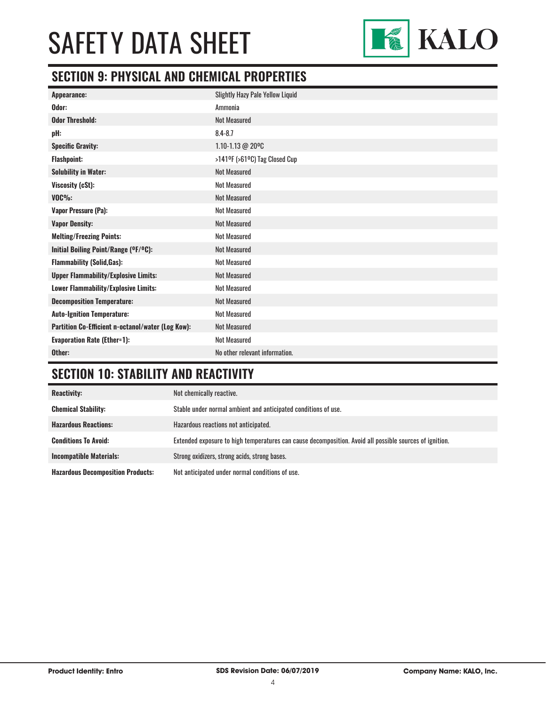

### **SECTION 9: PHYSICAL AND CHEMICAL PROPERTIES**

| Appearance:                                       | <b>Slightly Hazy Pale Yellow Liquid</b> |
|---------------------------------------------------|-----------------------------------------|
| Odor:                                             | Ammonia                                 |
| <b>Odor Threshold:</b>                            | <b>Not Measured</b>                     |
| pH:                                               | $8.4 - 8.7$                             |
| <b>Specific Gravity:</b>                          | 1.10-1.13 @ 20°C                        |
| <b>Flashpoint:</b>                                | >141ºF (>61ºC) Tag Closed Cup           |
| <b>Solubility in Water:</b>                       | <b>Not Measured</b>                     |
| Viscosity (cSt):                                  | <b>Not Measured</b>                     |
| $VOC\%$ :                                         | <b>Not Measured</b>                     |
| Vapor Pressure (Pa):                              | <b>Not Measured</b>                     |
| <b>Vapor Density:</b>                             | <b>Not Measured</b>                     |
| <b>Melting/Freezing Points:</b>                   | <b>Not Measured</b>                     |
| Initial Boiling Point/Range (OF/OC):              | <b>Not Measured</b>                     |
| <b>Flammability (Solid, Gas):</b>                 | <b>Not Measured</b>                     |
| <b>Upper Flammability/Explosive Limits:</b>       | <b>Not Measured</b>                     |
| Lower Flammability/Explosive Limits:              | <b>Not Measured</b>                     |
| <b>Decomposition Temperature:</b>                 | <b>Not Measured</b>                     |
| <b>Auto-Ignition Temperature:</b>                 | <b>Not Measured</b>                     |
| Partition Co-Efficient n-octanol/water (Log Kow): | <b>Not Measured</b>                     |
| <b>Evaporation Rate (Ether=1):</b>                | <b>Not Measured</b>                     |
| Other:                                            | No other relevant information.          |

### **SECTION 10: STABILITY AND REACTIVITY**

| <b>Reactivity:</b>                       | Not chemically reactive.                                                                                |
|------------------------------------------|---------------------------------------------------------------------------------------------------------|
| <b>Chemical Stability:</b>               | Stable under normal ambient and anticipated conditions of use.                                          |
| <b>Hazardous Reactions:</b>              | Hazardous reactions not anticipated.                                                                    |
| <b>Conditions To Avoid:</b>              | Extended exposure to high temperatures can cause decomposition. Avoid all possible sources of ignition. |
| <b>Incompatible Materials:</b>           | Strong oxidizers, strong acids, strong bases.                                                           |
| <b>Hazardous Decomposition Products:</b> | Not anticipated under normal conditions of use.                                                         |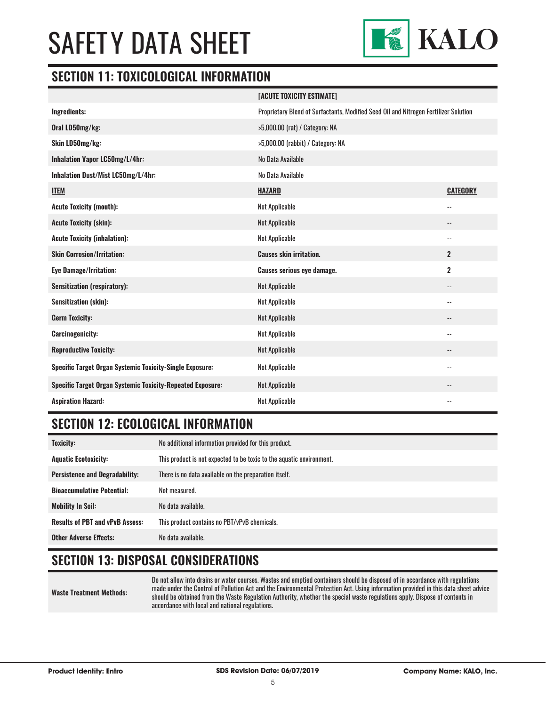

#### **SECTION 11: TOXICOLOGICAL INFORMATION**

|                                                                   | [ACUTE TOXICITY ESTIMATE]                                                            |                          |
|-------------------------------------------------------------------|--------------------------------------------------------------------------------------|--------------------------|
| Ingredients:                                                      | Proprietary Blend of Surfactants, Modified Seed Oil and Nitrogen Fertilizer Solution |                          |
| Oral LD50mg/kg:                                                   | >5,000.00 (rat) / Category: NA                                                       |                          |
| Skin LD50mg/kg:                                                   | >5,000.00 (rabbit) / Category: NA                                                    |                          |
| Inhalation Vapor LC50mg/L/4hr:                                    | No Data Available                                                                    |                          |
| Inhalation Dust/Mist LC50mg/L/4hr:                                | No Data Available                                                                    |                          |
| <b>ITEM</b>                                                       | <b>HAZARD</b>                                                                        | <b>CATEGORY</b>          |
| <b>Acute Toxicity (mouth):</b>                                    | Not Applicable                                                                       | $-$                      |
| <b>Acute Toxicity (skin):</b>                                     | Not Applicable                                                                       | $\overline{\phantom{a}}$ |
| <b>Acute Toxicity (inhalation):</b>                               | Not Applicable                                                                       | $\overline{\phantom{a}}$ |
| <b>Skin Corrosion/Irritation:</b>                                 | <b>Causes skin irritation.</b>                                                       | $\overline{2}$           |
| <b>Eye Damage/Irritation:</b>                                     | <b>Causes serious eye damage.</b>                                                    | $\overline{2}$           |
| <b>Sensitization (respiratory):</b>                               | Not Applicable                                                                       | $\overline{\phantom{a}}$ |
| <b>Sensitization (skin):</b>                                      | Not Applicable                                                                       | $\overline{\phantom{a}}$ |
| <b>Germ Toxicity:</b>                                             | Not Applicable                                                                       | $\overline{a}$           |
| <b>Carcinogenicity:</b>                                           | Not Applicable                                                                       | $\overline{\phantom{a}}$ |
| <b>Reproductive Toxicity:</b>                                     | Not Applicable                                                                       | $\overline{\phantom{a}}$ |
| Specific Target Organ Systemic Toxicity-Single Exposure:          | Not Applicable                                                                       | $\overline{\phantom{a}}$ |
| <b>Specific Target Organ Systemic Toxicity-Repeated Exposure:</b> | Not Applicable                                                                       | $-$                      |
| <b>Aspiration Hazard:</b>                                         | <b>Not Applicable</b>                                                                | $\overline{\phantom{a}}$ |

### **SECTION 12: ECOLOGICAL INFORMATION**

| Toxicity:                              | No additional information provided for this product.                 |  |
|----------------------------------------|----------------------------------------------------------------------|--|
| <b>Aquatic Ecotoxicity:</b>            | This product is not expected to be toxic to the aquatic environment. |  |
| <b>Persistence and Degradability:</b>  | There is no data available on the preparation itself.                |  |
| <b>Bioaccumulative Potential:</b>      | Not measured.                                                        |  |
| <b>Mobility In Soil:</b>               | No data available.                                                   |  |
| <b>Results of PBT and vPvB Assess:</b> | This product contains no PBT/vPvB chemicals.                         |  |
| <b>Other Adverse Effects:</b>          | No data available.                                                   |  |

#### **SECTION 13: DISPOSAL CONSIDERATIONS**

**Waste Treatment Methods:**

Do not allow into drains or water courses. Wastes and emptied containers should be disposed of in accordance with regulations made under the Control of Pollution Act and the Environmental Protection Act. Using information provided in this data sheet advice should be obtained from the Waste Regulation Authority, whether the special waste regulations apply. Dispose of contents in accordance with local and national regulations.